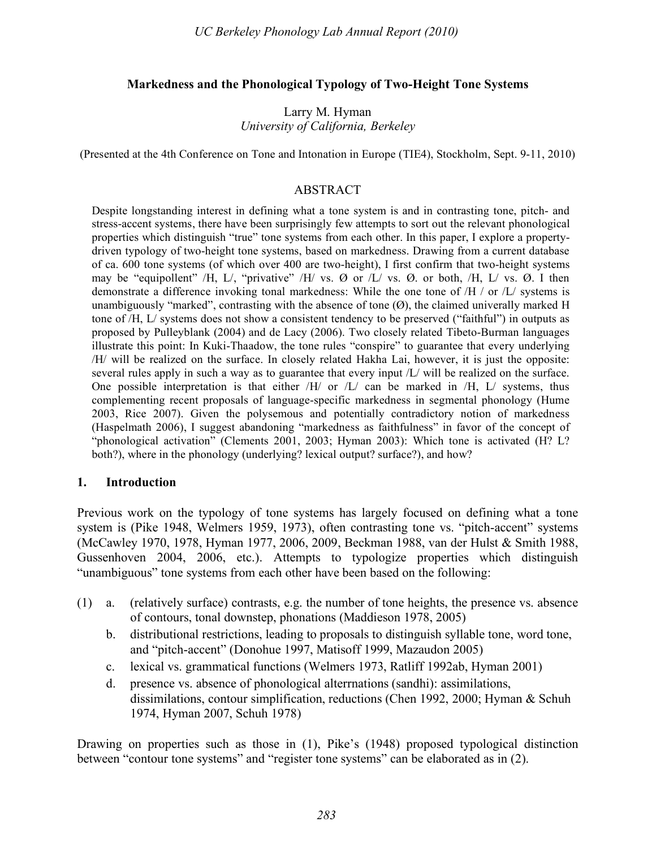### **Markedness and the Phonological Typology of Two-Height Tone Systems**

Larry M. Hyman *University of California, Berkeley*

(Presented at the 4th Conference on Tone and Intonation in Europe (TIE4), Stockholm, Sept. 9-11, 2010)

### ABSTRACT

Despite longstanding interest in defining what a tone system is and in contrasting tone, pitch- and stress-accent systems, there have been surprisingly few attempts to sort out the relevant phonological properties which distinguish "true" tone systems from each other. In this paper, I explore a propertydriven typology of two-height tone systems, based on markedness. Drawing from a current database of ca. 600 tone systems (of which over 400 are two-height), I first confirm that two-height systems may be "equipollent" /H, L/, "privative" /H/ vs. Ø or  $/L/$  vs. Ø. or both, /H, L/ vs. Ø. I then demonstrate a difference invoking tonal markedness: While the one tone of  $/H /$  or  $/L /$  systems is unambiguously "marked", contrasting with the absence of tone  $(\emptyset)$ , the claimed univerally marked H tone of /H, L/ systems does not show a consistent tendency to be preserved ("faithful") in outputs as proposed by Pulleyblank (2004) and de Lacy (2006). Two closely related Tibeto-Burman languages illustrate this point: In Kuki-Thaadow, the tone rules "conspire" to guarantee that every underlying /H/ will be realized on the surface. In closely related Hakha Lai, however, it is just the opposite: several rules apply in such a way as to guarantee that every input /L/ will be realized on the surface. One possible interpretation is that either  $/H/$  or  $/L/$  can be marked in  $/H$ ,  $L/$  systems, thus complementing recent proposals of language-specific markedness in segmental phonology (Hume 2003, Rice 2007). Given the polysemous and potentially contradictory notion of markedness (Haspelmath 2006), I suggest abandoning "markedness as faithfulness" in favor of the concept of "phonological activation" (Clements 2001, 2003; Hyman 2003): Which tone is activated (H? L? both?), where in the phonology (underlying? lexical output? surface?), and how?

### **1. Introduction**

Previous work on the typology of tone systems has largely focused on defining what a tone system is (Pike 1948, Welmers 1959, 1973), often contrasting tone vs. "pitch-accent" systems (McCawley 1970, 1978, Hyman 1977, 2006, 2009, Beckman 1988, van der Hulst & Smith 1988, Gussenhoven 2004, 2006, etc.). Attempts to typologize properties which distinguish "unambiguous" tone systems from each other have been based on the following:

- (1) a. (relatively surface) contrasts, e.g. the number of tone heights, the presence vs. absence of contours, tonal downstep, phonations (Maddieson 1978, 2005)
	- b. distributional restrictions, leading to proposals to distinguish syllable tone, word tone, and "pitch-accent" (Donohue 1997, Matisoff 1999, Mazaudon 2005)
	- c. lexical vs. grammatical functions (Welmers 1973, Ratliff 1992ab, Hyman 2001)
	- d. presence vs. absence of phonological alterrnations (sandhi): assimilations, dissimilations, contour simplification, reductions (Chen 1992, 2000; Hyman & Schuh 1974, Hyman 2007, Schuh 1978)

Drawing on properties such as those in (1), Pike's (1948) proposed typological distinction between "contour tone systems" and "register tone systems" can be elaborated as in (2).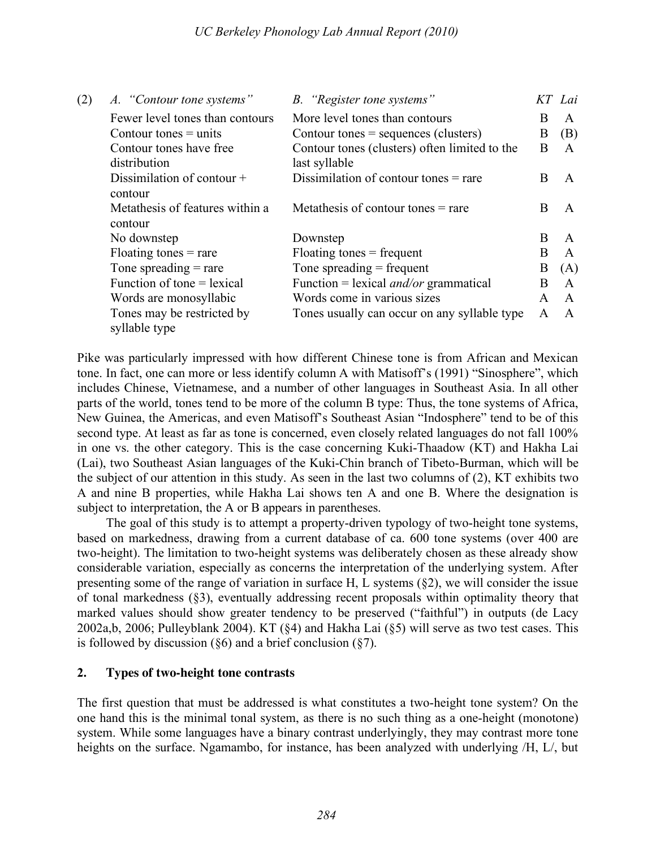| (2) | A. "Contour tone systems"                   | B. "Register tone systems"                    |              | KT Lai       |
|-----|---------------------------------------------|-----------------------------------------------|--------------|--------------|
|     | Fewer level tones than contours             | More level tones than contours                | B            | A            |
|     | Contour tones $=$ units                     | Contour tones $=$ sequences (clusters)        | B            | (B)          |
|     | Contour tones have free                     | Contour tones (clusters) often limited to the | B            | A            |
|     | distribution                                | last syllable                                 |              |              |
|     | Dissimilation of contour $+$<br>contour     | Dissimilation of contour tones $=$ rare       | <sub>R</sub> | A            |
|     | Metathesis of features within a<br>contour  | Metathesis of contour tones $=$ rare          | B            | A            |
|     | No downstep                                 | Downstep                                      | B.           | $\mathsf{A}$ |
|     | Floating tones $=$ rare                     | $F$ loating tones = frequent                  | B            | $\mathsf{A}$ |
|     | Tone spreading $=$ rare                     | Tone spreading $=$ frequent                   | B            | (A)          |
|     | Function of tone $=$ lexical                | Function = lexical <i>and/or</i> grammatical  | B            | $\mathsf{A}$ |
|     | Words are monosyllabic                      | Words come in various sizes                   | A            | $\mathsf{A}$ |
|     | Tones may be restricted by<br>syllable type | Tones usually can occur on any syllable type  | A            | $\mathsf{A}$ |

Pike was particularly impressed with how different Chinese tone is from African and Mexican tone. In fact, one can more or less identify column A with Matisoff's (1991) "Sinosphere", which includes Chinese, Vietnamese, and a number of other languages in Southeast Asia. In all other parts of the world, tones tend to be more of the column B type: Thus, the tone systems of Africa, New Guinea, the Americas, and even Matisoff's Southeast Asian "Indosphere" tend to be of this second type. At least as far as tone is concerned, even closely related languages do not fall 100% in one vs. the other category. This is the case concerning Kuki-Thaadow (KT) and Hakha Lai (Lai), two Southeast Asian languages of the Kuki-Chin branch of Tibeto-Burman, which will be the subject of our attention in this study. As seen in the last two columns of (2), KT exhibits two A and nine B properties, while Hakha Lai shows ten A and one B. Where the designation is subject to interpretation, the A or B appears in parentheses.

The goal of this study is to attempt a property-driven typology of two-height tone systems, based on markedness, drawing from a current database of ca. 600 tone systems (over 400 are two-height). The limitation to two-height systems was deliberately chosen as these already show considerable variation, especially as concerns the interpretation of the underlying system. After presenting some of the range of variation in surface H, L systems (§2), we will consider the issue of tonal markedness (§3), eventually addressing recent proposals within optimality theory that marked values should show greater tendency to be preserved ("faithful") in outputs (de Lacy 2002a,b, 2006; Pulleyblank 2004). KT (§4) and Hakha Lai (§5) will serve as two test cases. This is followed by discussion ( $\S6$ ) and a brief conclusion ( $\S7$ ).

# **2. Types of two-height tone contrasts**

The first question that must be addressed is what constitutes a two-height tone system? On the one hand this is the minimal tonal system, as there is no such thing as a one-height (monotone) system. While some languages have a binary contrast underlyingly, they may contrast more tone heights on the surface. Ngamambo, for instance, has been analyzed with underlying /H, L/, but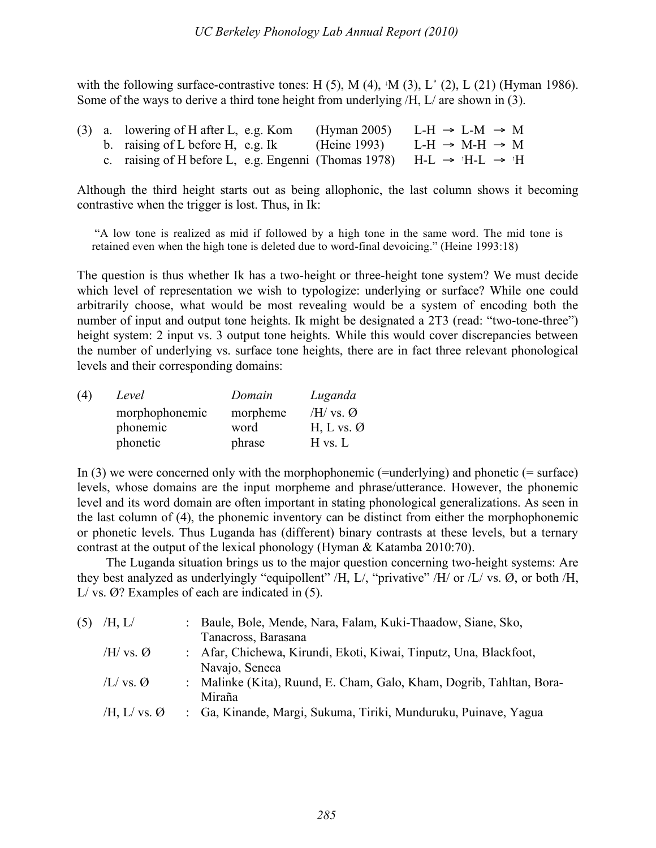with the following surface-contrastive tones: H  $(5)$ , M  $(4)$ ,  $^{\circ}$ M  $(3)$ , L $^{\circ}$  (2), L  $(21)$  (Hyman 1986). Some of the ways to derive a third tone height from underlying /H, L/ are shown in (3).

|  | $(3)$ a. lowering of H after L, e.g. Kom                                                     | (Hyman 2005) L-H $\rightarrow$ L-M $\rightarrow$ M |  |  |
|--|----------------------------------------------------------------------------------------------|----------------------------------------------------|--|--|
|  | b. raising of L before H, e.g. Ik                                                            | (Heine 1993) L-H $\rightarrow$ M-H $\rightarrow$ M |  |  |
|  | c. raising of H before L, e.g. Engenni (Thomas 1978) H-L $\rightarrow$ 'H-L $\rightarrow$ 'H |                                                    |  |  |

Although the third height starts out as being allophonic, the last column shows it becoming contrastive when the trigger is lost. Thus, in Ik:

 "A low tone is realized as mid if followed by a high tone in the same word. The mid tone is retained even when the high tone is deleted due to word-final devoicing." (Heine 1993:18)

The question is thus whether Ik has a two-height or three-height tone system? We must decide which level of representation we wish to typologize: underlying or surface? While one could arbitrarily choose, what would be most revealing would be a system of encoding both the number of input and output tone heights. Ik might be designated a 2T3 (read: "two-tone-three") height system: 2 input vs. 3 output tone heights. While this would cover discrepancies between the number of underlying vs. surface tone heights, there are in fact three relevant phonological levels and their corresponding domains:

| (4) | Level          | Domain   | Luganda                |
|-----|----------------|----------|------------------------|
|     | morphophonemic | morpheme | /H/ vs. $\varnothing$  |
|     | phonemic       | word     | H, L vs. $\varnothing$ |
|     | phonetic       | phrase   | $H$ vs. $L$            |

In  $(3)$  we were concerned only with the morphophonemic (=underlying) and phonetic (= surface) levels, whose domains are the input morpheme and phrase/utterance. However, the phonemic level and its word domain are often important in stating phonological generalizations. As seen in the last column of (4), the phonemic inventory can be distinct from either the morphophonemic or phonetic levels. Thus Luganda has (different) binary contrasts at these levels, but a ternary contrast at the output of the lexical phonology (Hyman & Katamba 2010:70).

The Luganda situation brings us to the major question concerning two-height systems: Are they best analyzed as underlyingly "equipollent" /H, L/, "privative" /H/ or /L/ vs. Ø, or both /H,  $L/vs$ .  $\varnothing$ ? Examples of each are indicated in (5).

| (5) | /H, L/                   | Baule, Bole, Mende, Nara, Falam, Kuki-Thaadow, Siane, Sko,           |
|-----|--------------------------|----------------------------------------------------------------------|
|     |                          | Tanacross, Barasana                                                  |
|     | /H/ vs. $\varnothing$    | : Afar, Chichewa, Kirundi, Ekoti, Kiwai, Tinputz, Una, Blackfoot,    |
|     |                          | Navajo, Seneca                                                       |
|     | $/L/vs.$ Ø               | : Malinke (Kita), Ruund, E. Cham, Galo, Kham, Dogrib, Tahltan, Bora- |
|     |                          | Miraña                                                               |
|     | /H, L/ vs. $\varnothing$ | : Ga, Kinande, Margi, Sukuma, Tiriki, Munduruku, Puinave, Yagua      |
|     |                          |                                                                      |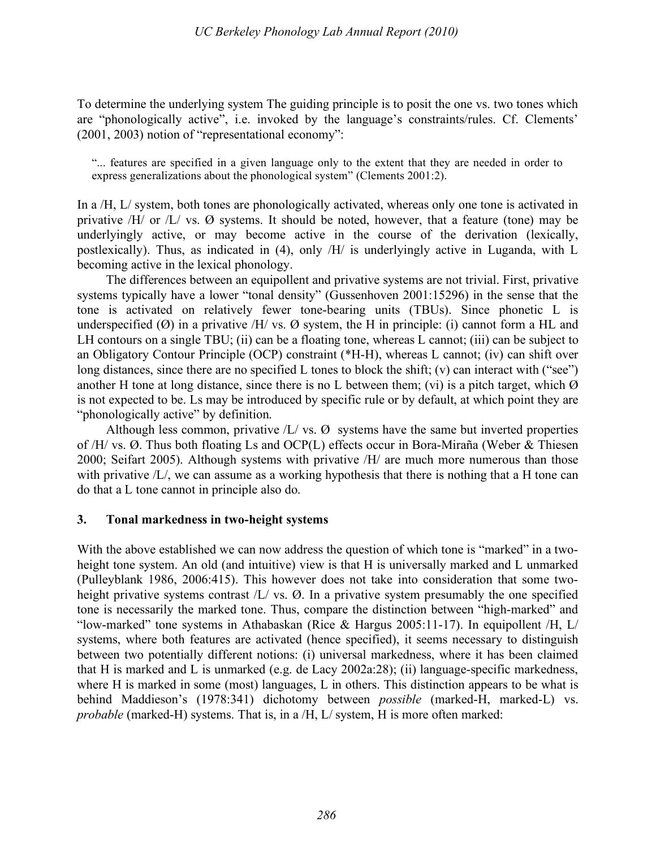To determine the underlying system The guiding principle is to posit the one vs. two tones which are "phonologically active", i.e. invoked by the language's constraints/rules. Cf. Clements' (2001, 2003) notion of "representational economy":

"... features are specified in a given language only to the extent that they are needed in order to express generalizations about the phonological system" (Clements 2001:2).

In a /H, L/ system, both tones are phonologically activated, whereas only one tone is activated in privative  $/H/$  or  $/L/$  vs.  $\varnothing$  systems. It should be noted, however, that a feature (tone) may be underlyingly active, or may become active in the course of the derivation (lexically, postlexically). Thus, as indicated in (4), only /H/ is underlyingly active in Luganda, with L becoming active in the lexical phonology.

The differences between an equipollent and privative systems are not trivial. First, privative systems typically have a lower "tonal density" (Gussenhoven 2001:15296) in the sense that the tone is activated on relatively fewer tone-bearing units (TBUs). Since phonetic L is underspecified  $(\emptyset)$  in a privative /H/ vs.  $\emptyset$  system, the H in principle: (i) cannot form a HL and LH contours on a single TBU; (ii) can be a floating tone, whereas L cannot; (iii) can be subject to an Obligatory Contour Principle (OCP) constraint (\*H-H), whereas L cannot; (iv) can shift over long distances, since there are no specified L tones to block the shift; (v) can interact with ("see") another H tone at long distance, since there is no L between them; (vi) is a pitch target, which  $\emptyset$ is not expected to be. Ls may be introduced by specific rule or by default, at which point they are "phonologically active" by definition.

Although less common, privative  $/L / vs. \varnothing$  systems have the same but inverted properties of /H/ vs. Ø. Thus both floating Ls and OCP(L) effects occur in Bora-Miraña (Weber & Thiesen 2000; Seifart 2005). Although systems with privative /H/ are much more numerous than those with privative  $/L/$ , we can assume as a working hypothesis that there is nothing that a H tone can do that a L tone cannot in principle also do.

### **3. Tonal markedness in two-height systems**

With the above established we can now address the question of which tone is "marked" in a twoheight tone system. An old (and intuitive) view is that H is universally marked and L unmarked (Pulleyblank 1986, 2006:415). This however does not take into consideration that some twoheight privative systems contrast /L/ vs. Ø. In a privative system presumably the one specified tone is necessarily the marked tone. Thus, compare the distinction between "high-marked" and "low-marked" tone systems in Athabaskan (Rice & Hargus 2005:11-17). In equipollent /H, L/ systems, where both features are activated (hence specified), it seems necessary to distinguish between two potentially different notions: (i) universal markedness, where it has been claimed that H is marked and L is unmarked (e.g. de Lacy 2002a:28); (ii) language-specific markedness, where H is marked in some (most) languages, L in others. This distinction appears to be what is behind Maddieson's (1978:341) dichotomy between *possible* (marked-H, marked-L) vs. *probable* (marked-H) systems. That is, in a /H, L/ system, H is more often marked: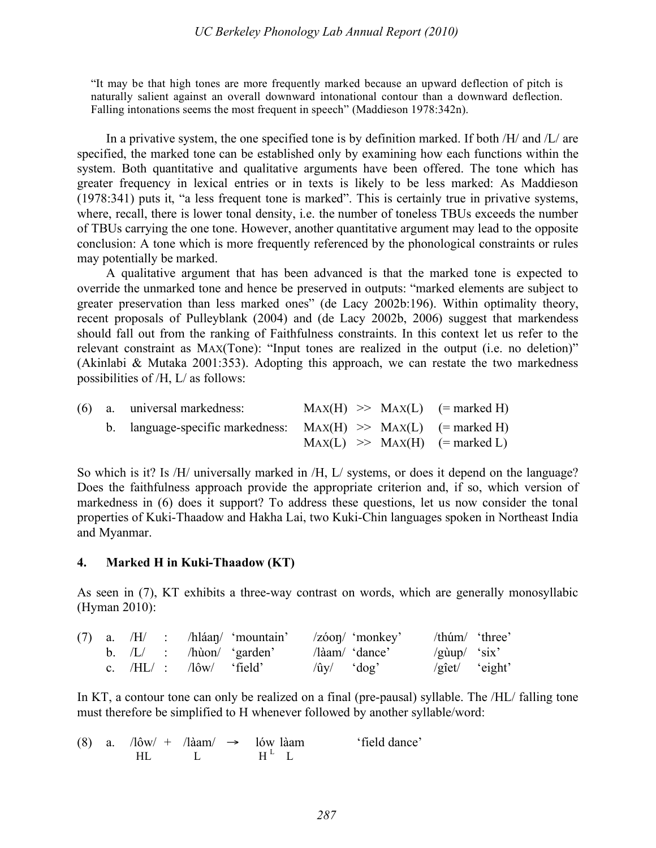"It may be that high tones are more frequently marked because an upward deflection of pitch is naturally salient against an overall downward intonational contour than a downward deflection. Falling intonations seems the most frequent in speech" (Maddieson 1978:342n).

In a privative system, the one specified tone is by definition marked. If both  $/H$  and  $/L$  are specified, the marked tone can be established only by examining how each functions within the system. Both quantitative and qualitative arguments have been offered. The tone which has greater frequency in lexical entries or in texts is likely to be less marked: As Maddieson (1978:341) puts it, "a less frequent tone is marked". This is certainly true in privative systems, where, recall, there is lower tonal density, i.e. the number of toneless TBUs exceeds the number of TBUs carrying the one tone. However, another quantitative argument may lead to the opposite conclusion: A tone which is more frequently referenced by the phonological constraints or rules may potentially be marked.

A qualitative argument that has been advanced is that the marked tone is expected to override the unmarked tone and hence be preserved in outputs: "marked elements are subject to greater preservation than less marked ones" (de Lacy 2002b:196). Within optimality theory, recent proposals of Pulleyblank (2004) and (de Lacy 2002b, 2006) suggest that markendess should fall out from the ranking of Faithfulness constraints. In this context let us refer to the relevant constraint as MAX(Tone): "Input tones are realized in the output (i.e. no deletion)" (Akinlabi & Mutaka 2001:353). Adopting this approach, we can restate the two markedness possibilities of /H, L/ as follows:

|  | (6) a. universal markedness:                                      |  | $\text{MAX}(H) \implies \text{MAX}(L)$ (= marked H)               |
|--|-------------------------------------------------------------------|--|-------------------------------------------------------------------|
|  | b. language-specific markedness: $MAX(H) \gg MAX(L)$ (= marked H) |  |                                                                   |
|  |                                                                   |  | $\text{MAX}(L) \implies \text{MAX}(H) \quad (\text{= marked } L)$ |

So which is it? Is /H/ universally marked in /H, L/ systems, or does it depend on the language? Does the faithfulness approach provide the appropriate criterion and, if so, which version of markedness in (6) does it support? To address these questions, let us now consider the tonal properties of Kuki-Thaadow and Hakha Lai, two Kuki-Chin languages spoken in Northeast India and Myanmar.

### **4. Marked H in Kuki-Thaadow (KT)**

As seen in (7), KT exhibits a three-way contrast on words, which are generally monosyllabic (Hyman 2010):

|  |  |                                       | $(7)$ a. $/H$ : /hláan/ 'mountain' /zóon/ 'monkey' |                                                         |                              | $/\text{thum}/\text{~'three'}$    |
|--|--|---------------------------------------|----------------------------------------------------|---------------------------------------------------------|------------------------------|-----------------------------------|
|  |  | b. $/L/$ : $/h\hat{u}$ (garden)       |                                                    | $\lambda$ aam $\lambda$ 'dance'                         | $\gamma$ gùup $\gamma$ 'six' |                                   |
|  |  | c. $/HL/$ : $\frac{1}{\omega}$ field' |                                                    | $\langle \hat{u}v \rangle$ $\langle \text{dog} \rangle$ |                              | $\sqrt{g}$ iet $\sqrt{g}$ 'eight' |

In KT, a contour tone can only be realized on a final (pre-pausal) syllable. The /HL/ falling tone must therefore be simplified to H whenever followed by another syllable/word:

|  |     |  | (8) a. $\sqrt{16}w' + \sqrt{16}am' \rightarrow 16w \text{ láam}$ | 'field dance' |
|--|-----|--|------------------------------------------------------------------|---------------|
|  | HL. |  | $H^L$ L                                                          |               |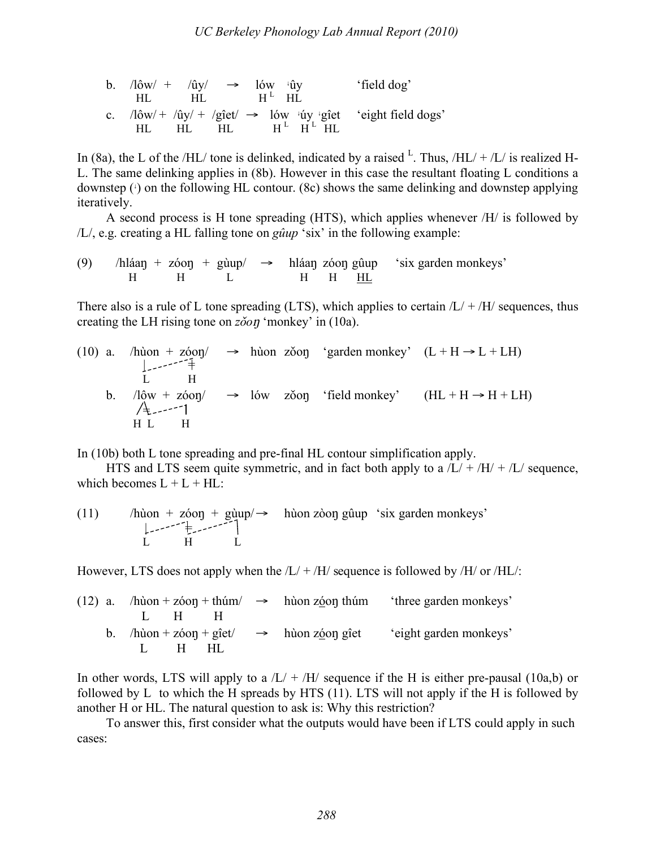| b. $\sqrt{2}$ /0w/ + $\sqrt{u}$ y/ $\rightarrow$ 16w $\sqrt{u}$ y<br>HL - |                            | $HL$ $H^L$ $HI$ . |  |  | 'field dog'                                                                  |
|---------------------------------------------------------------------------|----------------------------|-------------------|--|--|------------------------------------------------------------------------------|
| HL.                                                                       | $HL$ $HL$ $H^L$ $H^L$ $HL$ |                   |  |  | c. $/10w/ + /0y/ + /g^2$ iet/ $\rightarrow$ lów 'úy 'giet 'eight field dogs' |

In (8a), the L of the /HL/ tone is delinked, indicated by a raised  $L$ . Thus, /HL/ + /L/ is realized H-L. The same delinking applies in (8b). However in this case the resultant floating L conditions a downstep (<sup>↓</sup> ) on the following HL contour. (8c) shows the same delinking and downstep applying iteratively.

A second process is H tone spreading (HTS), which applies whenever /H/ is followed by /L/, e.g. creating a HL falling tone on *gûup* 'six' in the following example:

(9) /hláan + zóon + gùup/  $\rightarrow$  hláan zóon gûup 'six garden monkeys'<br>H H H H H H H L H H HL

There also is a rule of L tone spreading (LTS), which applies to certain  $/L + /H$  sequences, thus creating the LH rising tone on  $z\delta\omega\eta$  'monkey' in (10a).

(10) a. /hùon + zóop/ 
$$
\rightarrow
$$
 hùon zöop 'garden monkey' (L + H  $\rightarrow$  L + LH)  
\nL H  
\nb. /lôw + zóop/  $\rightarrow$  lów zöop 'field monkey' (HL + H  $\rightarrow$  H + LH)  
\n/ $\underset{H \text{ L}}{\downarrow}$ 

In (10b) both L tone spreading and pre-final HL contour simplification apply.

HTS and LTS seem quite symmetric, and in fact both apply to a  $/L/ + /H/ + /L/$  sequence, which becomes  $L + L + HL$ :

(11) /hùon + zóop + gùup/
$$
\rightarrow
$$
 hùon zòop gûup 'six garden monkeys'  
\nL H L

However, LTS does not apply when the  $/L/ + /H/$  sequence is followed by  $/H/$  or  $/H/L/$ :

|  | $(12)$ a. /hùon + zóon + thúm/ $\rightarrow$ hùon zóon thúm |  | 'three garden monkeys' |
|--|-------------------------------------------------------------|--|------------------------|
|  | 1. H H                                                      |  |                        |
|  | b. /hùon + zóon + gîet/ $\rightarrow$ hùon zóon gîet        |  | 'eight garden monkeys' |
|  | 1. H HI.                                                    |  |                        |

In other words, LTS will apply to a  $/L/ + /H/$  sequence if the H is either pre-pausal (10a,b) or followed by L to which the H spreads by HTS (11). LTS will not apply if the H is followed by another H or HL. The natural question to ask is: Why this restriction?

To answer this, first consider what the outputs would have been if LTS could apply in such cases: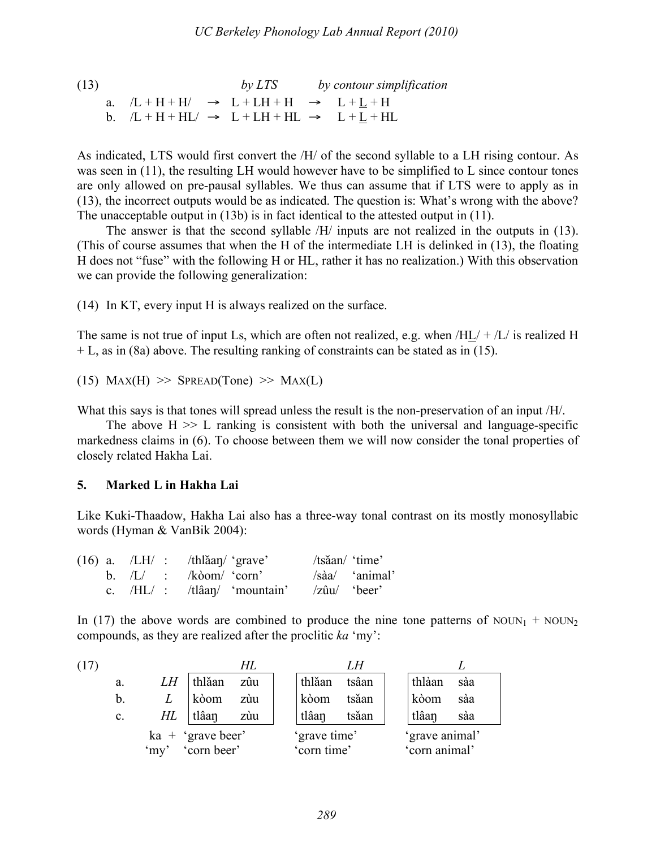(13)  
\na. 
$$
/L + H + H/ \rightarrow L + LH + H \rightarrow L + L + H
$$
  
\nb.  $/L + H + HL/ \rightarrow L + LH + HL \rightarrow L + L + HL$ 

As indicated, LTS would first convert the /H/ of the second syllable to a LH rising contour. As was seen in (11), the resulting LH would however have to be simplified to L since contour tones are only allowed on pre-pausal syllables. We thus can assume that if LTS were to apply as in (13), the incorrect outputs would be as indicated. The question is: What's wrong with the above? The unacceptable output in (13b) is in fact identical to the attested output in (11).

The answer is that the second syllable /H/ inputs are not realized in the outputs in (13). (This of course assumes that when the H of the intermediate LH is delinked in (13), the floating H does not "fuse" with the following H or HL, rather it has no realization.) With this observation we can provide the following generalization:

(14) In KT, every input H is always realized on the surface.

The same is not true of input Ls, which are often not realized, e.g. when  $H_{\text{L}}/+L$  is realized H + L, as in (8a) above. The resulting ranking of constraints can be stated as in (15).

(15)  $Max(H) \gg$  SPREAD(Tone)  $\gg$  MAX(L)

What this says is that tones will spread unless the result is the non-preservation of an input /H/.

The above  $H \gg L$  ranking is consistent with both the universal and language-specific markedness claims in (6). To choose between them we will now consider the tonal properties of closely related Hakha Lai.

# **5. Marked L in Hakha Lai**

Like Kuki-Thaadow, Hakha Lai also has a three-way tonal contrast on its mostly monosyllabic words (Hyman & VanBik 2004):

| $(16)$ a. $/LH/$ : $-th$ $\lambda$ and $\gamma$ 'grave' |  |                                                                | /tsǎan/ 'time' |                |
|---------------------------------------------------------|--|----------------------------------------------------------------|----------------|----------------|
|                                                         |  | b. $/L$ : $/k\omega$ m/ 'corn'                                 |                | /sàa/ 'animal' |
|                                                         |  | c. $/HL/$ : $/tl\hat{a}a\eta/$ 'mountain' $/z\hat{a}u/$ 'beer' |                |                |

In (17) the above words are combined to produce the nine tone patterns of  $NOUN_1 + NOUN_2$ compounds, as they are realized after the proclitic *ka* 'my':

| (17) |                |    |                                  | HI. |  |                             |       |  |                                 |     |  |
|------|----------------|----|----------------------------------|-----|--|-----------------------------|-------|--|---------------------------------|-----|--|
|      | a.             | LH | thlăan                           | zûu |  | thlǎan                      | tsâan |  | thlàan                          | sàa |  |
|      | b.             |    | kòom                             | zùu |  | kòom                        | tsăan |  | kòom                            | sàa |  |
|      | $\mathbf{c}$ . | HL | tlâan                            | zùu |  | tlâan                       | tsăan |  | tlâan                           | sàa |  |
|      |                |    | $ka + 'grave$<br>'my' corn beer' |     |  | 'grave time'<br>'corn time' |       |  | 'grave animal'<br>'corn animal' |     |  |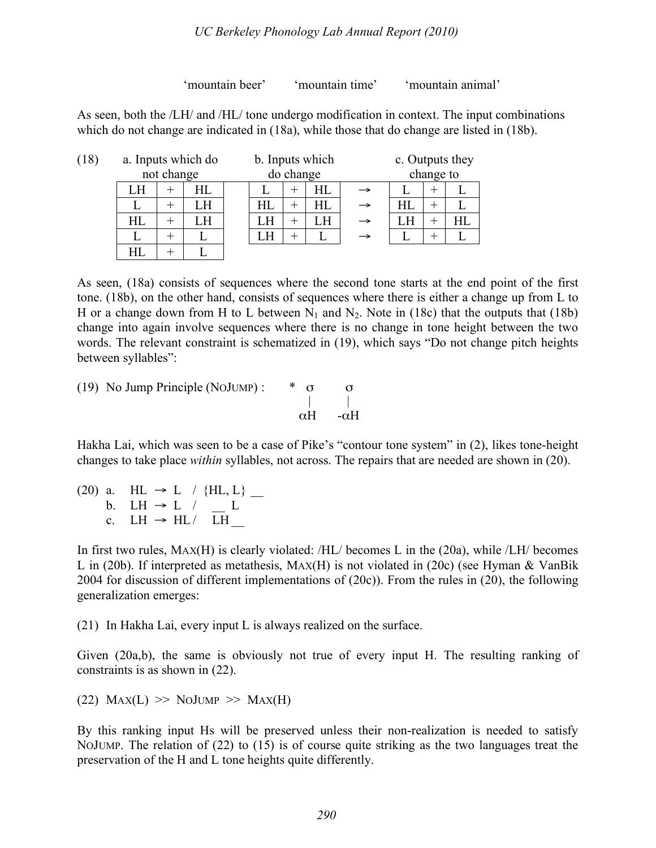### *UC Berkeley Phonology Lab Annual Report (2010)*

'mountain beer' 'mountain time' 'mountain animal'

As seen, both the /LH/ and /HL/ tone undergo modification in context. The input combinations which do not change are indicated in (18a), while those that do change are listed in (18b).

| (18) |    |            | a. Inputs which do | b. Inputs which |           |    |   | c. Outputs they |   |              |  |
|------|----|------------|--------------------|-----------------|-----------|----|---|-----------------|---|--------------|--|
|      |    | not change |                    |                 | do change |    |   | change to       |   |              |  |
|      |    |            | HL                 |                 | +         | НL |   |                 | ┭ |              |  |
|      |    |            |                    | HL              | +         | НL |   | НL              |   |              |  |
|      | HL |            |                    |                 | $\pm$     |    | → |                 |   | $_{\rm{HI}}$ |  |
|      |    |            |                    |                 |           |    |   |                 |   |              |  |
|      |    |            |                    |                 |           |    |   |                 |   |              |  |

As seen, (18a) consists of sequences where the second tone starts at the end point of the first tone. (18b), on the other hand, consists of sequences where there is either a change up from L to H or a change down from H to L between  $N_1$  and  $N_2$ . Note in (18c) that the outputs that (18b) change into again involve sequences where there is no change in tone height between the two words. The relevant constraint is schematized in (19), which says "Do not change pitch heights between syllables":

(19) No Jump Principle (NOJUMP) :  $\begin{array}{cc} * & \sigma & \sigma \\ | & | & | \end{array}$ αH -αH

Hakha Lai, which was seen to be a case of Pike's "contour tone system" in (2), likes tone-height changes to take place *within* syllables, not across. The repairs that are needed are shown in (20).

(20) a. HL  $\rightarrow$  L / {HL, L} \_ b. LH  $\rightarrow$  L  $/$  L c. LH  $\rightarrow$  HL/  $\overline{L}$ H

In first two rules, MAX(H) is clearly violated: /HL/ becomes L in the (20a), while /LH/ becomes L in (20b). If interpreted as metathesis, MAX(H) is not violated in (20c) (see Hyman & VanBik 2004 for discussion of different implementations of (20c)). From the rules in (20), the following generalization emerges:

(21) In Hakha Lai, every input L is always realized on the surface.

Given (20a,b), the same is obviously not true of every input H. The resulting ranking of constraints is as shown in (22).

 $(22)$  Max $(L)$  >> NoJump >> Max $(H)$ 

By this ranking input Hs will be preserved unless their non-realization is needed to satisfy NOJUMP. The relation of (22) to (15) is of course quite striking as the two languages treat the preservation of the H and L tone heights quite differently.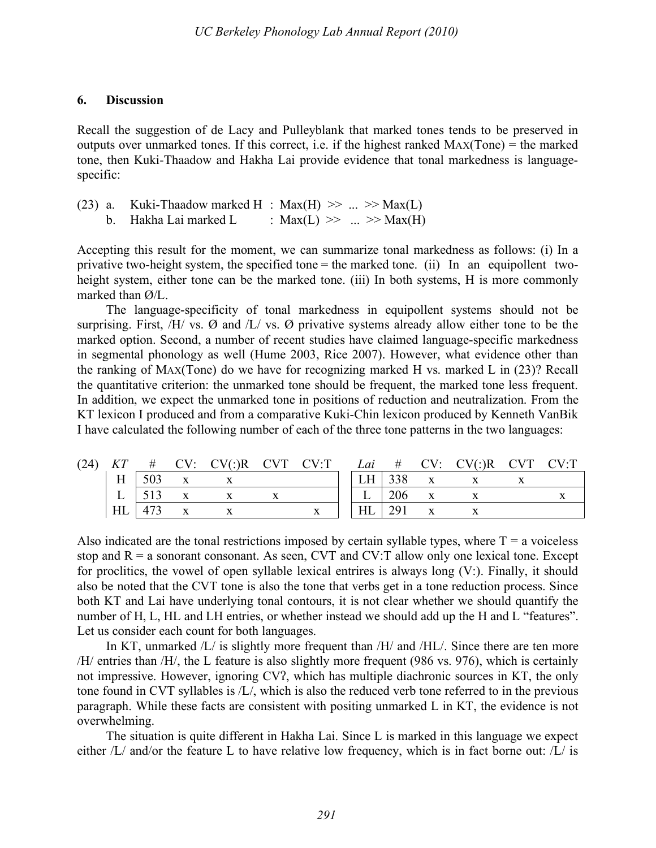### **6. Discussion**

Recall the suggestion of de Lacy and Pulleyblank that marked tones tends to be preserved in outputs over unmarked tones. If this correct, i.e. if the highest ranked MAX(Tone) = the marked tone, then Kuki-Thaadow and Hakha Lai provide evidence that tonal markedness is languagespecific:

|  | (23) a. Kuki-Thaadow marked H : Max(H) $\gg$ $\gg$ Max(L) |                            |  |
|--|-----------------------------------------------------------|----------------------------|--|
|  | b. Hakha Lai marked L                                     | : $Max(L) \gg  \gg Max(H)$ |  |

Accepting this result for the moment, we can summarize tonal markedness as follows: (i) In a privative two-height system, the specified tone = the marked tone. (ii) In an equipollent twoheight system, either tone can be the marked tone. (iii) In both systems, H is more commonly marked than Ø/L.

The language-specificity of tonal markedness in equipollent systems should not be surprising. First,  $/H/$  vs.  $\emptyset$  and  $/L/$  vs.  $\emptyset$  privative systems already allow either tone to be the marked option. Second, a number of recent studies have claimed language-specific markedness in segmental phonology as well (Hume 2003, Rice 2007). However, what evidence other than the ranking of MAX(Tone) do we have for recognizing marked H vs. marked L in (23)? Recall the quantitative criterion: the unmarked tone should be frequent, the marked tone less frequent. In addition, we expect the unmarked tone in positions of reduction and neutralization. From the KT lexicon I produced and from a comparative Kuki-Chin lexicon produced by Kenneth VanBik I have calculated the following number of each of the three tone patterns in the two languages:

| (24) | KT           | #   | $CV: CV::R$ $CV::R$ $CV:T$ |  |           |     | <i>Lai</i> # $CV: CV(:)R$ $CVT$ $CV:T$ |  |
|------|--------------|-----|----------------------------|--|-----------|-----|----------------------------------------|--|
|      | Η            | 503 |                            |  | <b>LH</b> | 338 |                                        |  |
|      | $\mathbf{L}$ |     |                            |  |           | 206 |                                        |  |
|      | HL           |     |                            |  | HL        | 291 |                                        |  |

Also indicated are the tonal restrictions imposed by certain syllable types, where  $T = a$  voiceless stop and  $R = a$  sonorant consonant. As seen, CVT and CV:T allow only one lexical tone. Except for proclitics, the vowel of open syllable lexical entrires is always long (V:). Finally, it should also be noted that the CVT tone is also the tone that verbs get in a tone reduction process. Since both KT and Lai have underlying tonal contours, it is not clear whether we should quantify the number of H, L, HL and LH entries, or whether instead we should add up the H and L "features". Let us consider each count for both languages.

In KT, unmarked  $/L/$  is slightly more frequent than  $/H/$  and  $/H/L/$ . Since there are ten more /H/ entries than /H/, the L feature is also slightly more frequent (986 vs. 976), which is certainly not impressive. However, ignoring CV?, which has multiple diachronic sources in KT, the only tone found in CVT syllables is /L/, which is also the reduced verb tone referred to in the previous paragraph. While these facts are consistent with positing unmarked L in KT, the evidence is not overwhelming.

The situation is quite different in Hakha Lai. Since L is marked in this language we expect either /L/ and/or the feature L to have relative low frequency, which is in fact borne out: /L/ is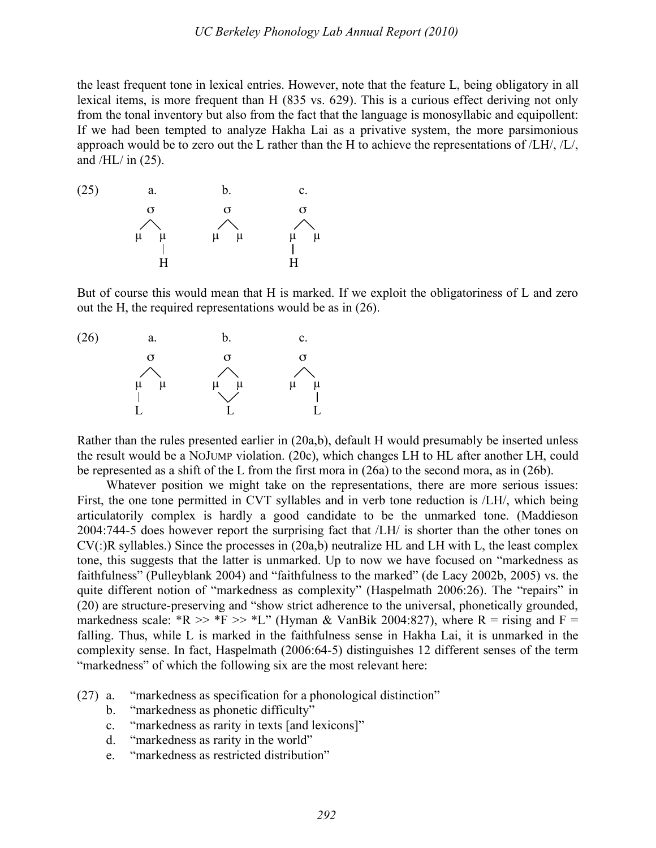the least frequent tone in lexical entries. However, note that the feature L, being obligatory in all lexical items, is more frequent than H (835 vs. 629). This is a curious effect deriving not only from the tonal inventory but also from the fact that the language is monosyllabic and equipollent: If we had been tempted to analyze Hakha Lai as a privative system, the more parsimonious approach would be to zero out the L rather than the H to achieve the representations of /LH/, /L/, and  $/HL/m$  (25).



But of course this would mean that H is marked. If we exploit the obligatoriness of L and zero out the H, the required representations would be as in (26).



Rather than the rules presented earlier in (20a,b), default H would presumably be inserted unless the result would be a NOJUMP violation. (20c), which changes LH to HL after another LH, could be represented as a shift of the L from the first mora in (26a) to the second mora, as in (26b).

Whatever position we might take on the representations, there are more serious issues: First, the one tone permitted in CVT syllables and in verb tone reduction is /LH/, which being articulatorily complex is hardly a good candidate to be the unmarked tone. (Maddieson 2004:744-5 does however report the surprising fact that /LH/ is shorter than the other tones on CV(:)R syllables.) Since the processes in (20a,b) neutralize HL and LH with L, the least complex tone, this suggests that the latter is unmarked. Up to now we have focused on "markedness as faithfulness" (Pulleyblank 2004) and "faithfulness to the marked" (de Lacy 2002b, 2005) vs. the quite different notion of "markedness as complexity" (Haspelmath 2006:26). The "repairs" in (20) are structure-preserving and "show strict adherence to the universal, phonetically grounded, markedness scale: \*R >> \*F >> \*L" (Hyman & VanBik 2004:827), where R = rising and F = falling. Thus, while L is marked in the faithfulness sense in Hakha Lai, it is unmarked in the complexity sense. In fact, Haspelmath (2006:64-5) distinguishes 12 different senses of the term "markedness" of which the following six are the most relevant here:

- (27) a. "markedness as specification for a phonological distinction"
	- b. "markedness as phonetic difficulty"
	- c. "markedness as rarity in texts [and lexicons]"
	- d. "markedness as rarity in the world"
	- e. "markedness as restricted distribution"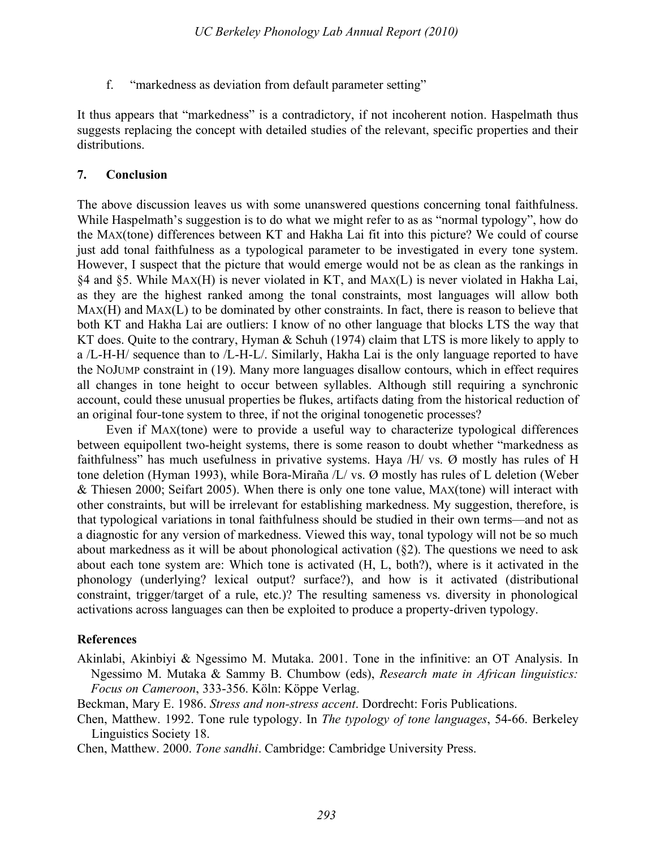f. "markedness as deviation from default parameter setting"

It thus appears that "markedness" is a contradictory, if not incoherent notion. Haspelmath thus suggests replacing the concept with detailed studies of the relevant, specific properties and their distributions.

### **7. Conclusion**

The above discussion leaves us with some unanswered questions concerning tonal faithfulness. While Haspelmath's suggestion is to do what we might refer to as as "normal typology", how do the MAX(tone) differences between KT and Hakha Lai fit into this picture? We could of course just add tonal faithfulness as a typological parameter to be investigated in every tone system. However, I suspect that the picture that would emerge would not be as clean as the rankings in §4 and §5. While MAX(H) is never violated in KT, and MAX(L) is never violated in Hakha Lai, as they are the highest ranked among the tonal constraints, most languages will allow both MAX(H) and MAX(L) to be dominated by other constraints. In fact, there is reason to believe that both KT and Hakha Lai are outliers: I know of no other language that blocks LTS the way that KT does. Quite to the contrary, Hyman & Schuh (1974) claim that LTS is more likely to apply to a /L-H-H/ sequence than to /L-H-L/. Similarly, Hakha Lai is the only language reported to have the NOJUMP constraint in (19). Many more languages disallow contours, which in effect requires all changes in tone height to occur between syllables. Although still requiring a synchronic account, could these unusual properties be flukes, artifacts dating from the historical reduction of an original four-tone system to three, if not the original tonogenetic processes?

Even if MAX(tone) were to provide a useful way to characterize typological differences between equipollent two-height systems, there is some reason to doubt whether "markedness as faithfulness" has much usefulness in privative systems. Haya  $/H/$  vs. Ø mostly has rules of H tone deletion (Hyman 1993), while Bora-Miraña /L/ vs. Ø mostly has rules of L deletion (Weber & Thiesen 2000; Seifart 2005). When there is only one tone value, MAX(tone) will interact with other constraints, but will be irrelevant for establishing markedness. My suggestion, therefore, is that typological variations in tonal faithfulness should be studied in their own terms—and not as a diagnostic for any version of markedness. Viewed this way, tonal typology will not be so much about markedness as it will be about phonological activation (§2). The questions we need to ask about each tone system are: Which tone is activated (H, L, both?), where is it activated in the phonology (underlying? lexical output? surface?), and how is it activated (distributional constraint, trigger/target of a rule, etc.)? The resulting sameness vs. diversity in phonological activations across languages can then be exploited to produce a property-driven typology.

# **References**

Akinlabi, Akinbiyi & Ngessimo M. Mutaka. 2001. Tone in the infinitive: an OT Analysis. In Ngessimo M. Mutaka & Sammy B. Chumbow (eds), *Research mate in African linguistics: Focus on Cameroon*, 333-356. Köln: Köppe Verlag.

Beckman, Mary E. 1986. *Stress and non-stress accent*. Dordrecht: Foris Publications.

Chen, Matthew. 1992. Tone rule typology. In *The typology of tone languages*, 54-66. Berkeley Linguistics Society 18.

Chen, Matthew. 2000. *Tone sandhi*. Cambridge: Cambridge University Press.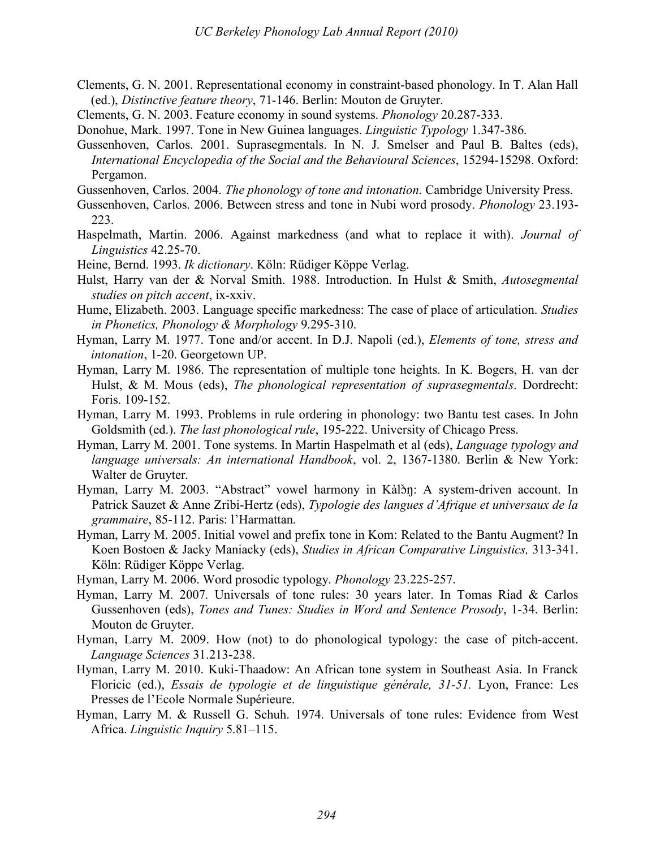- Clements, G. N. 2001. Representational economy in constraint-based phonology. In T. Alan Hall (ed.), *Distinctive feature theory*, 71-146. Berlin: Mouton de Gruyter.
- Clements, G. N. 2003. Feature economy in sound systems. *Phonology* 20.287-333.
- Donohue, Mark. 1997. Tone in New Guinea languages. *Linguistic Typology* 1.347-386.
- Gussenhoven, Carlos. 2001. Suprasegmentals. In N. J. Smelser and Paul B. Baltes (eds), *International Encyclopedia of the Social and the Behavioural Sciences*, 15294-15298. Oxford: Pergamon.
- Gussenhoven, Carlos. 2004. *The phonology of tone and intonation*. Cambridge University Press.
- Gussenhoven, Carlos. 2006. Between stress and tone in Nubi word prosody. *Phonology* 23.193- 223.
- Haspelmath, Martin. 2006. Against markedness (and what to replace it with). *Journal of Linguistics* 42.25-70.
- Heine, Bernd. 1993. *Ik dictionary*. Köln: Rüdiger Köppe Verlag.
- Hulst, Harry van der & Norval Smith. 1988. Introduction. In Hulst & Smith, *Autosegmental studies on pitch accent*, ix-xxiv.
- Hume, Elizabeth. 2003. Language specific markedness: The case of place of articulation. *Studies in Phonetics, Phonology & Morphology* 9.295-310.
- Hyman, Larry M. 1977. Tone and/or accent. In D.J. Napoli (ed.), *Elements of tone, stress and intonation*, 1-20. Georgetown UP.
- Hyman, Larry M. 1986. The representation of multiple tone heights. In K. Bogers, H. van der Hulst, & M. Mous (eds), *The phonological representation of suprasegmentals*. Dordrecht: Foris. 109-152.
- Hyman, Larry M. 1993. Problems in rule ordering in phonology: two Bantu test cases. In John Goldsmith (ed.). *The last phonological rule*, 195-222. University of Chicago Press.
- Hyman, Larry M. 2001. Tone systems. In Martin Haspelmath et al (eds), *Language typology and language universals: An international Handbook*, vol. 2, 1367-1380. Berlin & New York: Walter de Gruyter.
- Hyman, Larry M. 2003. "Abstract" vowel harmony in Kàlòn: A system-driven account. In Patrick Sauzet & Anne Zribi-Hertz (eds), *Typologie des langues d'Afrique et universaux de la grammaire*, 85-112. Paris: l'Harmattan.
- Hyman, Larry M. 2005. Initial vowel and prefix tone in Kom: Related to the Bantu Augment? In Koen Bostoen & Jacky Maniacky (eds), *Studies in African Comparative Linguistics,* 313-341. Köln: Rüdiger Köppe Verlag.
- Hyman, Larry M. 2006. Word prosodic typology. *Phonology* 23.225-257.
- Hyman, Larry M. 2007. Universals of tone rules: 30 years later. In Tomas Riad & Carlos Gussenhoven (eds), *Tones and Tunes: Studies in Word and Sentence Prosody*, 1-34. Berlin: Mouton de Gruyter.
- Hyman, Larry M. 2009. How (not) to do phonological typology: the case of pitch-accent. *Language Sciences* 31.213-238.
- Hyman, Larry M. 2010. Kuki-Thaadow: An African tone system in Southeast Asia. In Franck Floricic (ed.), *Essais de typologie et de linguistique générale, 31-51.* Lyon, France: Les Presses de l'Ecole Normale Supérieure.
- Hyman, Larry M. & Russell G. Schuh. 1974. Universals of tone rules: Evidence from West Africa. *Linguistic Inquiry* 5.81–115.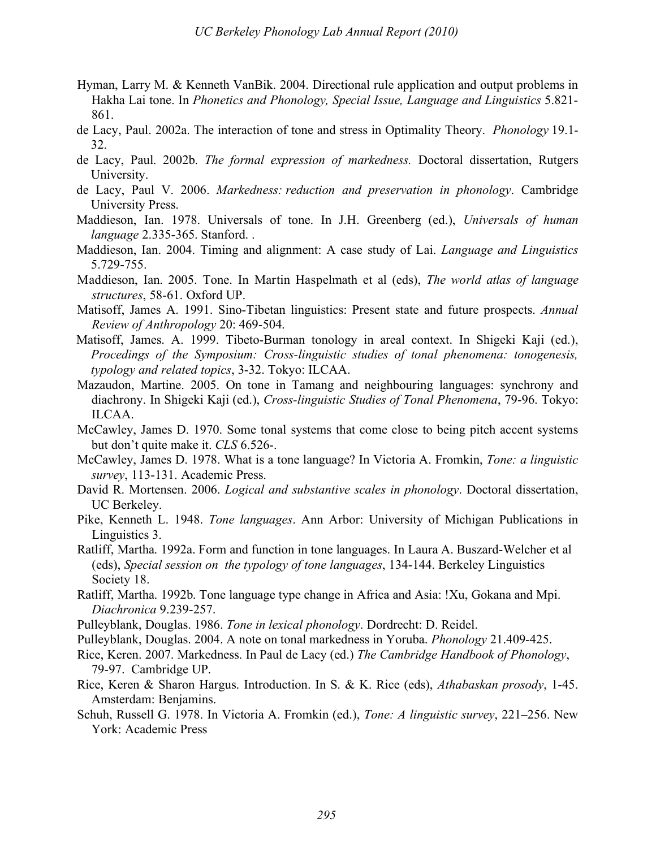- Hyman, Larry M. & Kenneth VanBik. 2004. Directional rule application and output problems in Hakha Lai tone. In *Phonetics and Phonology, Special Issue, Language and Linguistics* 5.821- 861.
- de Lacy, Paul. 2002a. The interaction of tone and stress in Optimality Theory. *Phonology* 19.1- 32.
- de Lacy, Paul. 2002b. *The formal expression of markedness.* Doctoral dissertation, Rutgers University.
- de Lacy, Paul V. 2006. *Markedness: reduction and preservation in phonology*. Cambridge University Press.
- Maddieson, Ian. 1978. Universals of tone. In J.H. Greenberg (ed.), *Universals of human language* 2.335-365. Stanford. .
- Maddieson, Ian. 2004. Timing and alignment: A case study of Lai. *Language and Linguistics* 5.729-755.
- Maddieson, Ian. 2005. Tone. In Martin Haspelmath et al (eds), *The world atlas of language structures*, 58-61. Oxford UP.
- Matisoff, James A. 1991. Sino-Tibetan linguistics: Present state and future prospects. *Annual Review of Anthropology* 20: 469-504.
- Matisoff, James. A. 1999. Tibeto-Burman tonology in areal context. In Shigeki Kaji (ed.), *Procedings of the Symposium: Cross-linguistic studies of tonal phenomena: tonogenesis, typology and related topics*, 3-32. Tokyo: ILCAA.
- Mazaudon, Martine. 2005. On tone in Tamang and neighbouring languages: synchrony and diachrony. In Shigeki Kaji (ed.), *Cross-linguistic Studies of Tonal Phenomena*, 79-96. Tokyo: ILCAA.
- McCawley, James D. 1970. Some tonal systems that come close to being pitch accent systems but don't quite make it. *CLS* 6.526-.
- McCawley, James D. 1978. What is a tone language? In Victoria A. Fromkin, *Tone: a linguistic survey*, 113-131. Academic Press.
- David R. Mortensen. 2006. *Logical and substantive scales in phonology*. Doctoral dissertation, UC Berkeley.
- Pike, Kenneth L. 1948. *Tone languages*. Ann Arbor: University of Michigan Publications in Linguistics 3.
- Ratliff, Martha. 1992a. Form and function in tone languages. In Laura A. Buszard-Welcher et al (eds), *Special session on the typology of tone languages*, 134-144. Berkeley Linguistics Society 18.
- Ratliff, Martha. 1992b. Tone language type change in Africa and Asia: !Xu, Gokana and Mpi. *Diachronica* 9.239-257.
- Pulleyblank, Douglas. 1986. *Tone in lexical phonology*. Dordrecht: D. Reidel.
- Pulleyblank, Douglas. 2004. A note on tonal markedness in Yoruba. *Phonology* 21.409-425.
- Rice, Keren. 2007. Markedness. In Paul de Lacy (ed.) *The Cambridge Handbook of Phonology*, 79-97. Cambridge UP.
- Rice, Keren & Sharon Hargus. Introduction. In S. & K. Rice (eds), *Athabaskan prosody*, 1-45. Amsterdam: Benjamins.
- Schuh, Russell G. 1978. In Victoria A. Fromkin (ed.), *Tone: A linguistic survey*, 221–256. New York: Academic Press